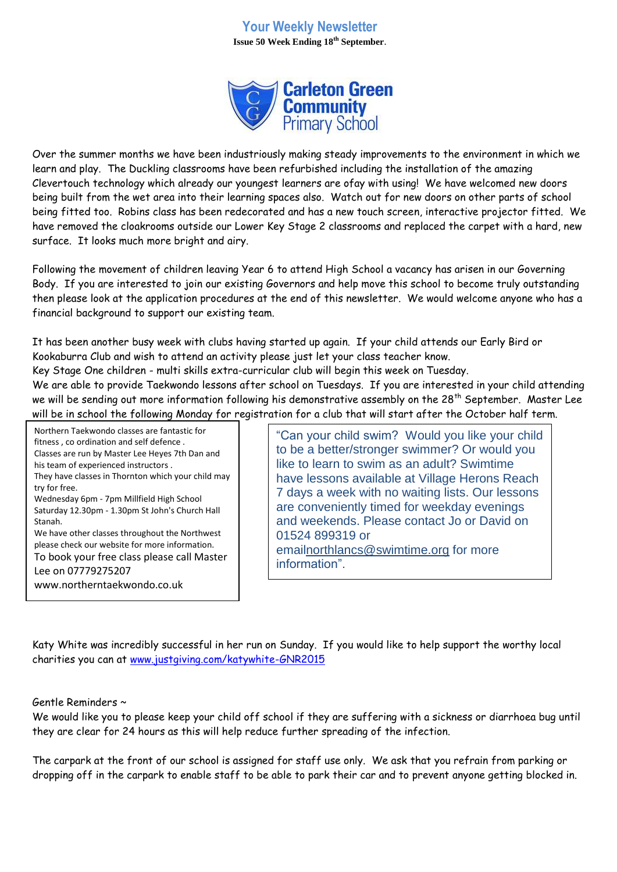## **Your Weekly Newsletter Issue 50 Week Ending 18th September**.



Over the summer months we have been industriously making steady improvements to the environment in which we learn and play. The Duckling classrooms have been refurbished including the installation of the amazing Clevertouch technology which already our youngest learners are ofay with using! We have welcomed new doors being built from the wet area into their learning spaces also. Watch out for new doors on other parts of school being fitted too. Robins class has been redecorated and has a new touch screen, interactive projector fitted. We have removed the cloakrooms outside our Lower Key Stage 2 classrooms and replaced the carpet with a hard, new surface. It looks much more bright and airy.

Following the movement of children leaving Year 6 to attend High School a vacancy has arisen in our Governing Body. If you are interested to join our existing Governors and help move this school to become truly outstanding then please look at the application procedures at the end of this newsletter. We would welcome anyone who has a financial background to support our existing team.

It has been another busy week with clubs having started up again. If your child attends our Early Bird or Kookaburra Club and wish to attend an activity please just let your class teacher know.

Key Stage One children - multi skills extra-curricular club will begin this week on Tuesday.

We are able to provide Taekwondo lessons after school on Tuesdays. If you are interested in your child attending we will be sending out more information following his demonstrative assembly on the 28<sup>th</sup> September. Master Lee will be in school the following Monday for registration for a club that will start after the October half term.

Northern Taekwondo classes are fantastic for fitness , co ordination and self defence . Classes are run by Master Lee Heyes 7th Dan and his team of experienced instructors . They have classes in Thornton which your child may try for free. Wednesday 6pm - 7pm Millfield High School Saturday 12.30pm - 1.30pm St John's Church Hall Stanah. We have other classes throughout the Northwest please check our website for more information. To book your free class please call Master Lee on 07779275207

www.northerntaekwondo.co.uk

"Can your child swim? Would you like your child to be a better/stronger swimmer? Or would you like to learn to swim as an adult? Swimtime have lessons available at Village Herons Reach 7 days a week with no waiting lists. Our lessons are conveniently timed for weekday evenings and weekends. Please contact Jo or David on 01524 899319 or emai[lnorthlancs@swimtime.org](mailto:northlancs@swimtime.org) for more information".

Katy White was incredibly successful in her run on Sunday. If you would like to help support the worthy local charities you can at [www.justgiving.com/katywhite-GNR2015](http://www.justgiving.com/katywhite-GNR2015) 

Gentle Reminders ~

We would like you to please keep your child off school if they are suffering with a sickness or diarrhoea bug until they are clear for 24 hours as this will help reduce further spreading of the infection.

The carpark at the front of our school is assigned for staff use only. We ask that you refrain from parking or dropping off in the carpark to enable staff to be able to park their car and to prevent anyone getting blocked in.